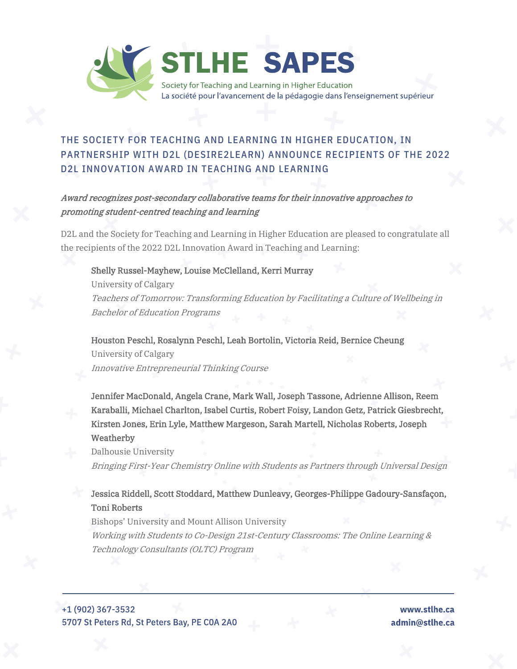

## THE SOCIETY FOR TEACHING AND LEARNING IN HIGHER EDUCATION, IN PARTNERSHIP WITH D2L (DESIRE2LEARN) ANNOUNCE RECIPIENTS OF THE 2022 D2L INNOVATION AWARD IN TEACHING AND LEARNING

## Award recognizes post-secondary collaborative teams for their innovative approaches to promoting student-centred teaching and learning

D2L and the Society for Teaching and Learning in Higher Education are pleased to congratulate all the recipients of the 2022 D2L Innovation Award in Teaching and Learning:

## Shelly Russel-Mayhew, Louise McClelland, Kerri Murray

University of Calgary Teachers of Tomorrow: Transforming Education by Facilitating a Culture of Wellbeing in Bachelor of Education Programs

Houston Peschl, Rosalynn Peschl, Leah Bortolin, Victoria Reid, Bernice Cheung University of Calgary Innovative Entrepreneurial Thinking Course

Jennifer MacDonald, Angela Crane, Mark Wall, Joseph Tassone, Adrienne Allison, Reem Karaballi, Michael Charlton, Isabel Curtis, Robert Foisy, Landon Getz, Patrick Giesbrecht, Kirsten Jones, Erin Lyle, Matthew Margeson, Sarah Martell, Nicholas Roberts, Joseph Weatherby

Dalhousie University Bringing First-Year Chemistry Online with Students as Partners through Universal Design

## Jessica Riddell, Scott Stoddard, Matthew Dunleavy, Georges-Philippe Gadoury-Sansfaçon, Toni Roberts

Bishops' University and Mount Allison University Working with Students to Co-Design 21st-Century Classrooms: The Online Learning & Technology Consultants (OLTC) Program

+1 (902) 367-3532 5707 St Peters Rd, St Peters Bay, PE C0A 2A0

www.stlhe.ca admin@stlhe.ca